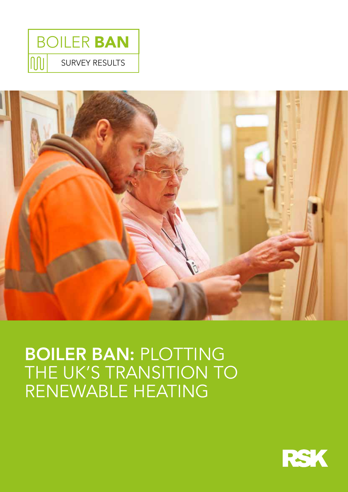



# BOILER BAN: PLOTTING THE UK'S TRANSITION TO RENEWABLE HEATING

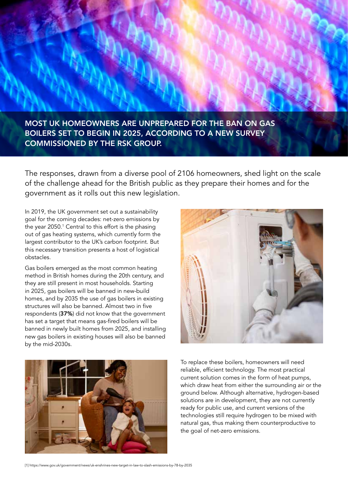MOST UK HOMEOWNERS ARE UNPREPARED FOR THE BAN ON GAS BOILERS SET TO BEGIN IN 2025, ACCORDING TO A NEW SURVEY COMMISSIONED BY THE RSK GROUP.

The responses, drawn from a diverse pool of 2106 homeowners, shed light on the scale of the challenge ahead for the British public as they prepare their homes and for the government as it rolls out this new legislation.

In 2019, the UK government set out a sustainability goal for the coming decades: net-zero emissions by the year 2050.<sup>1</sup> Central to this effort is the phasing out of gas heating systems, which currently form the largest contributor to the UK's carbon footprint. But this necessary transition presents a host of logistical obstacles.

Gas boilers emerged as the most common heating method in British homes during the 20th century, and they are still present in most households. Starting in 2025, gas boilers will be banned in new-build homes, and by 2035 the use of gas boilers in existing structures will also be banned. Almost two in five respondents (37%) did not know that the government has set a target that means gas-fired boilers will be banned in newly built homes from 2025, and installing new gas boilers in existing houses will also be banned by the mid-2030s.





To replace these boilers, homeowners will need reliable, efficient technology. The most practical current solution comes in the form of heat pumps, which draw heat from either the surrounding air or the ground below. Although alternative, hydrogen-based solutions are in development, they are not currently ready for public use, and current versions of the technologies still require hydrogen to be mixed with natural gas, thus making them counterproductive to the goal of net-zero emissions.

[1] https://www.gov.uk/government/news/uk-enshrines-new-target-in-law-to-slash-emissions-by-78-by-2035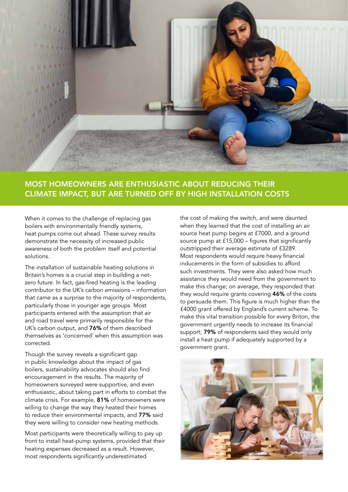

## MOST HOMEOWNERS ARE ENTHUSIASTIC ABOUT REDUCING THEIR CLIMATE IMPACT, BUT ARE TURNED OFF BY HIGH INSTALLATION COSTS

When it comes to the challenge of replacing gas boilers with environmentally friendly systems, heat pumps come out ahead. These survey results demonstrate the necessity of increased public awareness of both the problem itself and potential solutions.

The installation of sustainable heating solutions in Britain's homes is a crucial step in building a netzero future. In fact, gas-fired heating is the leading contributor to the UK's carbon emissions – information that came as a surprise to the majority of respondents, particularly those in younger age groups. Most participants entered with the assumption that air and road travel were primarily responsible for the UK's carbon output, and 76% of them described themselves as 'concerned' when this assumption was corrected.

Though the survey reveals a significant gap in public knowledge about the impact of gas boilers, sustainability advocates should also find encouragement in the results. The majority of homeowners surveyed were supportive, and even enthusiastic, about taking part in efforts to combat the climate crisis. For example, 81% of homeowners were willing to change the way they heated their homes to reduce their environmental impacts, and 77% said they were willing to consider new heating methods.

Most participants were theoretically willing to pay up front to install heat-pump systems, provided that their heating expenses decreased as a result. However, most respondents significantly underestimated

the cost of making the switch, and were daunted when they learned that the cost of installing an air source heat pump begins at £7000, and a ground source pump at £15,000 – figures that significantly outstripped their average estimate of £3289. Most respondents would require heavy financial inducements in the form of subsidies to afford such investments. They were also asked how much assistance they would need from the government to make this change; on average, they responded that they would require grants covering 46% of the costs to persuade them. This figure is much higher than the £4000 grant offered by England's current scheme. To make this vital transition possible for every Briton, the government urgently needs to increase its financial support; 79% of respondents said they would only install a heat pump if adequately supported by a government grant.

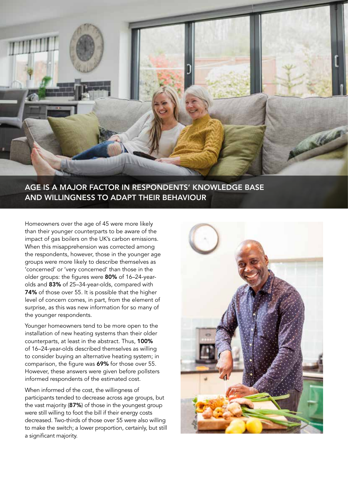

# AGE IS A MAJOR FACTOR IN RESPONDENTS' KNOWLEDGE BASE AND WILLINGNESS TO ADAPT THEIR BEHAVIOUR

Homeowners over the age of 45 were more likely than their younger counterparts to be aware of the impact of gas boilers on the UK's carbon emissions. When this misapprehension was corrected among the respondents, however, those in the younger age groups were more likely to describe themselves as 'concerned' or 'very concerned' than those in the older groups: the figures were 80% of 16–24-yearolds and 83% of 25–34-year-olds, compared with 74% of those over 55. It is possible that the higher level of concern comes, in part, from the element of surprise, as this was new information for so many of the younger respondents.

Younger homeowners tend to be more open to the installation of new heating systems than their older counterparts, at least in the abstract. Thus, 100% of 16–24-year-olds described themselves as willing to consider buying an alternative heating system; in comparison, the figure was 69% for those over 55. However, these answers were given before pollsters informed respondents of the estimated cost.

When informed of the cost, the willingness of participants tended to decrease across age groups, but the vast majority (87%) of those in the youngest group were still willing to foot the bill if their energy costs decreased. Two-thirds of those over 55 were also willing to make the switch; a lower proportion, certainly, but still a significant majority.

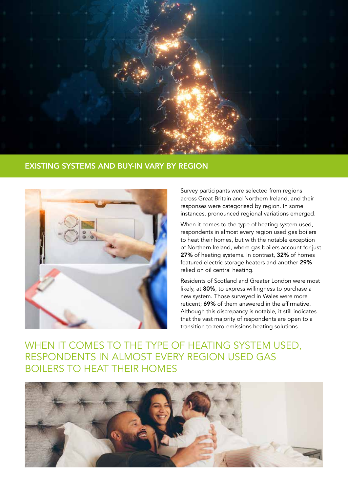

#### EXISTING SYSTEMS AND BUY-IN VARY BY REGION



Survey participants were selected from regions across Great Britain and Northern Ireland, and their responses were categorised by region. In some instances, pronounced regional variations emerged.

When it comes to the type of heating system used, respondents in almost every region used gas boilers to heat their homes, but with the notable exception of Northern Ireland, where gas boilers account for just 27% of heating systems. In contrast, 32% of homes featured electric storage heaters and another 29% relied on oil central heating.

Residents of Scotland and Greater London were most likely, at 80%, to express willingness to purchase a new system. Those surveyed in Wales were more reticent; 69% of them answered in the affirmative. Although this discrepancy is notable, it still indicates that the vast majority of respondents are open to a transition to zero-emissions heating solutions.

WHEN IT COMES TO THE TYPE OF HEATING SYSTEM USED, RESPONDENTS IN ALMOST EVERY REGION USED GAS BOILERS TO HEAT THEIR HOMES

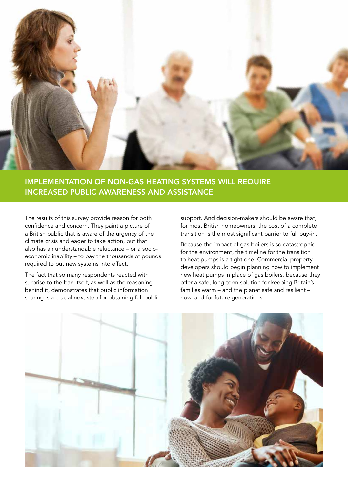

## IMPLEMENTATION OF NON-GAS HEATING SYSTEMS WILL REQUIRE INCREASED PUBLIC AWARENESS AND ASSISTANCE

The results of this survey provide reason for both confidence and concern. They paint a picture of a British public that is aware of the urgency of the climate crisis and eager to take action, but that also has an understandable reluctance – or a socioeconomic inability – to pay the thousands of pounds required to put new systems into effect.

The fact that so many respondents reacted with surprise to the ban itself, as well as the reasoning behind it, demonstrates that public information sharing is a crucial next step for obtaining full public support. And decision-makers should be aware that, for most British homeowners, the cost of a complete transition is the most significant barrier to full buy-in.

Because the impact of gas boilers is so catastrophic for the environment, the timeline for the transition to heat pumps is a tight one. Commercial property developers should begin planning now to implement new heat pumps in place of gas boilers, because they offer a safe, long-term solution for keeping Britain's families warm – and the planet safe and resilient – now, and for future generations.